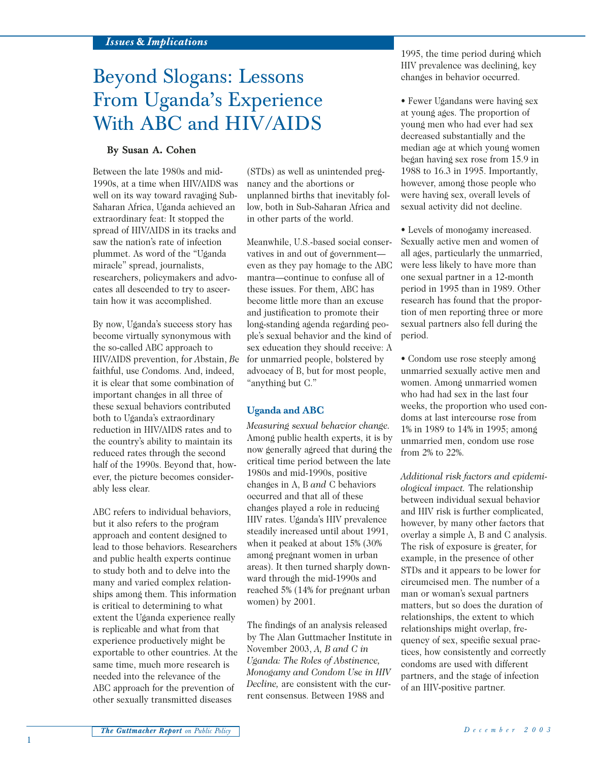# Beyond Slogans: Lessons From Uganda's Experience With ABC and HIV/AIDS

## **By Susan A. Cohen**

Between the late 1980s and mid-1990s, at a time when HIV/AIDS was well on its way toward ravaging Sub-Saharan Africa, Uganda achieved an extraordinary feat: It stopped the spread of HIV/AIDS in its tracks and saw the nation's rate of infection plummet. As word of the "Uganda miracle" spread, journalists, researchers, policymakers and advocates all descended to try to ascertain how it was accomplished.

By now, Uganda's success story has become virtually synonymous with the so-called ABC approach to HIV/AIDS prevention, for *A*bstain, *B*e faithful, use *C*ondoms. And, indeed, it is clear that some combination of important changes in all three of these sexual behaviors contributed both to Uganda's extraordinary reduction in HIV/AIDS rates and to the country's ability to maintain its reduced rates through the second half of the 1990s. Beyond that, however, the picture becomes considerably less clear.

ABC refers to individual behaviors, but it also refers to the program approach and content designed to lead to those behaviors. Researchers and public health experts continue to study both and to delve into the many and varied complex relationships among them. This information is critical to determining to what extent the Uganda experience really is replicable and what from that experience productively might be exportable to other countries. At the same time, much more research is needed into the relevance of the ABC approach for the prevention of other sexually transmitted diseases

(STDs) as well as unintended pregnancy and the abortions or unplanned births that inevitably follow, both in Sub-Saharan Africa and in other parts of the world.

Meanwhile, U.S.-based social conservatives in and out of government even as they pay homage to the ABC mantra—continue to confuse all of these issues. For them, ABC has become little more than an excuse and justification to promote their long-standing agenda regarding people's sexual behavior and the kind of sex education they should receive: A for unmarried people, bolstered by advocacy of B, but for most people, "anything but C."

## **Uganda and ABC**

*Measuring sexual behavior change.* Among public health experts, it is by now generally agreed that during the critical time period between the late 1980s and mid-1990s, positive changes in A, B *and* C behaviors occurred and that all of these changes played a role in reducing HIV rates. Uganda's HIV prevalence steadily increased until about 1991, when it peaked at about 15% (30% among pregnant women in urban areas). It then turned sharply downward through the mid-1990s and reached 5% (14% for pregnant urban women) by 2001.

The findings of an analysis released by The Alan Guttmacher Institute in November 2003, *A, B and C in Uganda: The Roles of Abstinence, Monogamy and Condom Use in HIV Decline,* are consistent with the current consensus. Between 1988 and

1995, the time period during which HIV prevalence was declining, key changes in behavior occurred.

• Fewer Ugandans were having sex at young ages. The proportion of young men who had ever had sex decreased substantially and the median age at which young women began having sex rose from 15.9 in 1988 to 16.3 in 1995. Importantly, however, among those people who were having sex, overall levels of sexual activity did not decline.

• Levels of monogamy increased. Sexually active men and women of all ages, particularly the unmarried, were less likely to have more than one sexual partner in a 12-month period in 1995 than in 1989. Other research has found that the proportion of men reporting three or more sexual partners also fell during the period.

• Condom use rose steeply among unmarried sexually active men and women. Among unmarried women who had had sex in the last four weeks, the proportion who used condoms at last intercourse rose from 1% in 1989 to 14% in 1995; among unmarried men, condom use rose from 2% to 22%.

*Additional risk factors and epidemiological impact.* The relationship between individual sexual behavior and HIV risk is further complicated, however, by many other factors that overlay a simple A, B and C analysis. The risk of exposure is greater, for example, in the presence of other STDs and it appears to be lower for circumcised men. The number of a man or woman's sexual partners matters, but so does the duration of relationships, the extent to which relationships might overlap, frequency of sex, specific sexual practices, how consistently and correctly condoms are used with different partners, and the stage of infection of an HIV-positive partner.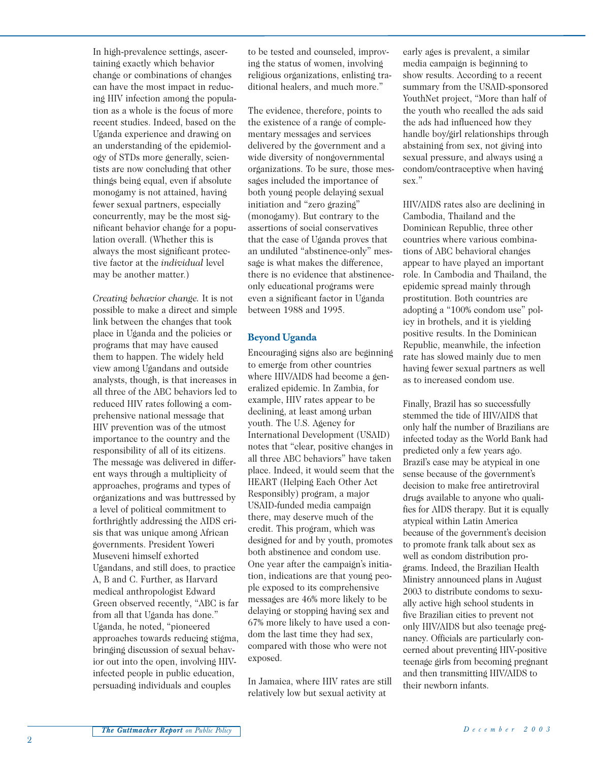In high-prevalence settings, ascertaining exactly which behavior change or combinations of changes can have the most impact in reducing HIV infection among the population as a whole is the focus of more recent studies. Indeed, based on the Uganda experience and drawing on an understanding of the epidemiology of STDs more generally, scientists are now concluding that other things being equal, even if absolute monogamy is not attained, having fewer sexual partners, especially concurrently, may be the most significant behavior change for a population overall. (Whether this is always the most significant protective factor at the *individual* level may be another matter.)

*Creating behavior change.* It is not possible to make a direct and simple link between the changes that took place in Uganda and the policies or programs that may have caused them to happen. The widely held view among Ugandans and outside analysts, though, is that increases in all three of the ABC behaviors led to reduced HIV rates following a comprehensive national message that HIV prevention was of the utmost importance to the country and the responsibility of all of its citizens. The message was delivered in different ways through a multiplicity of approaches, programs and types of organizations and was buttressed by a level of political commitment to forthrightly addressing the AIDS crisis that was unique among African governments. President Yoweri Museveni himself exhorted Ugandans, and still does, to practice A, B and C. Further, as Harvard medical anthropologist Edward Green observed recently, "ABC is far from all that Uganda has done." Uganda, he noted, "pioneered approaches towards reducing stigma, bringing discussion of sexual behavior out into the open, involving HIVinfected people in public education, persuading individuals and couples

to be tested and counseled, improving the status of women, involving religious organizations, enlisting traditional healers, and much more."

The evidence, therefore, points to the existence of a range of complementary messages and services delivered by the government and a wide diversity of nongovernmental organizations. To be sure, those messages included the importance of both young people delaying sexual initiation and "zero grazing" (monogamy). But contrary to the assertions of social conservatives that the case of Uganda proves that an undiluted "abstinence-only" message is what makes the difference, there is no evidence that abstinenceonly educational programs were even a significant factor in Uganda between 1988 and 1995.

#### **Beyond Uganda**

Encouraging signs also are beginning to emerge from other countries where HIV/AIDS had become a generalized epidemic. In Zambia, for example, HIV rates appear to be declining, at least among urban youth. The U.S. Agency for International Development (USAID) notes that "clear, positive changes in all three ABC behaviors" have taken place. Indeed, it would seem that the HEART (Helping Each Other Act Responsibly) program, a major USAID-funded media campaign there, may deserve much of the credit. This program, which was designed for and by youth, promotes both abstinence and condom use. One year after the campaign's initiation, indications are that young people exposed to its comprehensive messages are 46% more likely to be delaying or stopping having sex and 67% more likely to have used a condom the last time they had sex, compared with those who were not exposed.

In Jamaica, where HIV rates are still relatively low but sexual activity at

early ages is prevalent, a similar media campaign is beginning to show results. According to a recent summary from the USAID-sponsored YouthNet project, "More than half of the youth who recalled the ads said the ads had influenced how they handle boy/girl relationships through abstaining from sex, not giving into sexual pressure, and always using a condom/contraceptive when having sex."

HIV/AIDS rates also are declining in Cambodia, Thailand and the Dominican Republic, three other countries where various combinations of ABC behavioral changes appear to have played an important role. In Cambodia and Thailand, the epidemic spread mainly through prostitution. Both countries are adopting a "100% condom use" policy in brothels, and it is yielding positive results. In the Dominican Republic, meanwhile, the infection rate has slowed mainly due to men having fewer sexual partners as well as to increased condom use.

Finally, Brazil has so successfully stemmed the tide of HIV/AIDS that only half the number of Brazilians are infected today as the World Bank had predicted only a few years ago. Brazil's case may be atypical in one sense because of the government's decision to make free antiretroviral drugs available to anyone who qualifies for AIDS therapy. But it is equally atypical within Latin America because of the government's decision to promote frank talk about sex as well as condom distribution programs. Indeed, the Brazilian Health Ministry announced plans in August 2003 to distribute condoms to sexually active high school students in five Brazilian cities to prevent not only HIV/AIDS but also teenage pregnancy. Officials are particularly concerned about preventing HIV-positive teenage girls from becoming pregnant and then transmitting HIV/AIDS to their newborn infants.